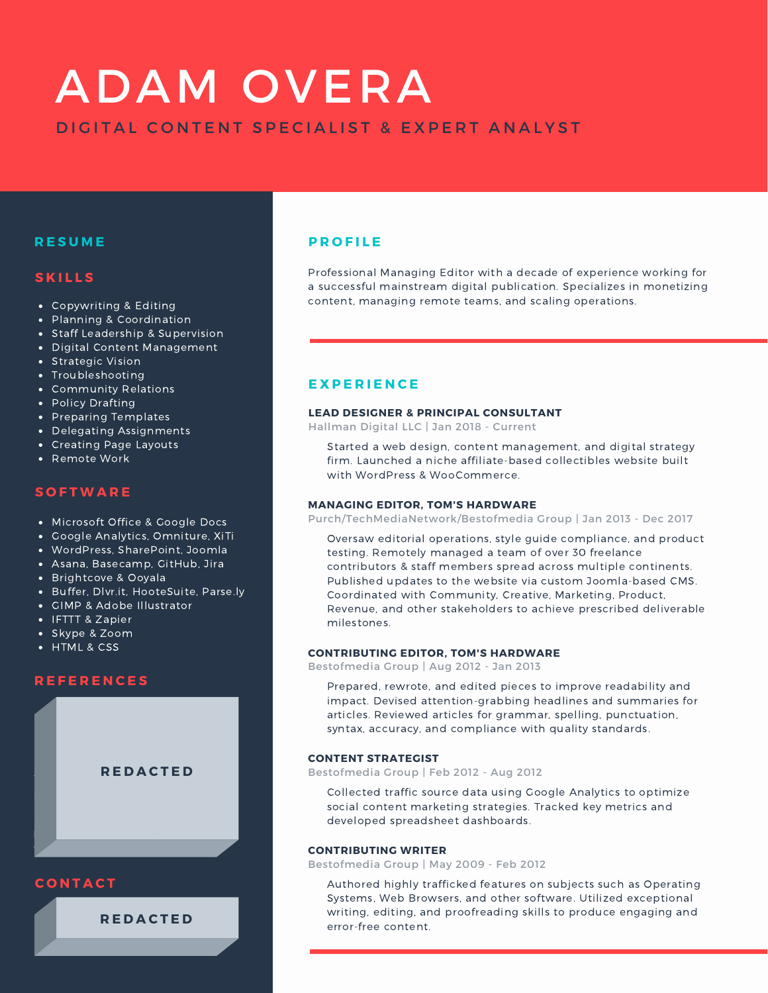# ADAM OVERA DIGITAL CONTENT SPECIALIST & EXPERT ANALYST

## **R E S U M E**

## **S K I L L S**

- Copywriting & Editing
- Planning & Coordination
- Staff Leadership & Supervision
- Digital Content Management
- **Strategic Vision**
- Troubleshooting
- Community Relations
- Policy Drafting
- Preparing Templates
- **•** Delegating Assignments
- Creating Page Layouts
- Remote Work

## **S O F T W A R E**

- Microsoft Office & Google Docs
- Google Analytics, Omniture, XiTi
- WordPress, SharePoint, Joomla
- Asana, Basecamp, GitHub, Jira
- Brightcove & Ooyala
- Buffer, Dlvr.it, HooteSuite, Parse.ly
- GIMP & Adobe Illustrator
- IFTTT & Zapier
- Skype & Zoom<br>• HTML <u>& CSS</u>
- 

## **R E F E R E N C E S**



adamovera.com

+1 352 613 2134 **R E D A C T E D** adamovera@protonmail.com

## **P R O F I L E**

Professional Managing Editor with a decade of experience working for a successful mainstream digital publication. Specializes in monetizing content, managing remote teams, and scaling operations.

## **E X P E R I E N C E**

### **LEAD DESIGNER & PRINCIPAL CONSULTANT**

Hallman Digital LLC | Jan 2018 - Current

Started a web design, content management, and digital strategy firm. Launched a niche affiliate-based collectibles website built with WordPress & WooCommerce.

### **MANAGING EDITOR, TOM'S HARDWARE**

Purch/TechMediaNetwork/Bestofmedia Group | Jan 2013 - Dec 2017

Oversaw editorial operations, style guide compliance, and product testing. Remotely managed a team of over 30 freelance contributors & staff members spread across multiple continents. Published updates to the website via custom Joomla-based CMS. Coordinated with Community, Creative, Marketing, Product, Revenue, and other stakeholders to achieve prescribed deliverable milestones.

### **CONTRIBUTING EDITOR, TOM'S HARDWARE**

Bestofmedia Group | Aug 2012 - Jan 2013

Prepared, rewrote, and edited pieces to improve readability and impact. Devised attention-grabbing headlines and summaries for articles. Reviewed articles for grammar, spelling, punctuation, syntax, accuracy, and compliance with quality standards.

### **CONTENT STRATEGIST**

Bestofmedia Group | Feb 2012 - Aug 2012

Collected traffic source data using Google Analytics to optimize social content marketing strategies. Tracked key metrics and developed spreadsheet dashboards.

### **CONTRIBUTING WRITER**

Bestofmedia Group | May 2009 - Feb 2012

Authored highly trafficked features on subjects such as Operating Systems, Web Browsers, and other software. Utilized exceptional writing, editing, and proofreading skills to produce engaging and error-free content.